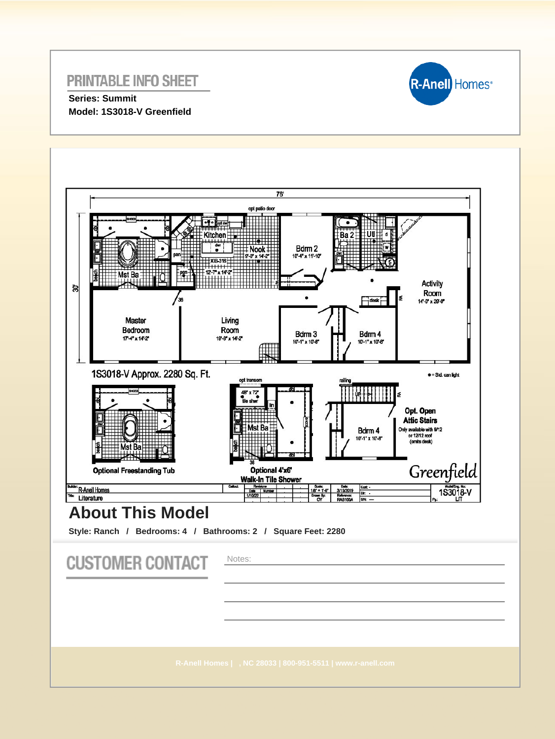

**Series: Summit Model: 1S3018-V Greenfield**

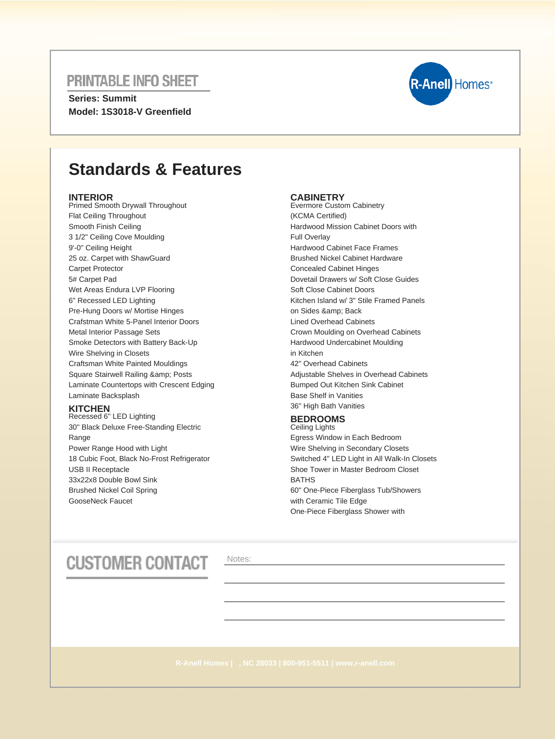**Series: Summit Model: 1S3018-V Greenfield**



## **Standards & Features**

### **INTERIOR**

Primed Smooth Drywall Throughout Flat Ceiling Throughout Smooth Finish Ceiling 3 1/2" Ceiling Cove Moulding 9'-0" Ceiling Height 25 oz. Carpet with ShawGuard Carpet Protector 5# Carpet Pad Wet Areas Endura LVP Flooring 6" Recessed LED Lighting Pre-Hung Doors w/ Mortise Hinges Crafstman White 5-Panel Interior Doors Metal Interior Passage Sets Smoke Detectors with Battery Back-Up Wire Shelving in Closets Craftsman White Painted Mouldings Square Stairwell Railing & amp; Posts Laminate Countertops with Crescent Edging Laminate Backsplash

### **KITCHEN**

Recessed 6" LED Lighting 30" Black Deluxe Free-Standing Electric Range Power Range Hood with Light 18 Cubic Foot, Black No-Frost Refrigerator USB II Receptacle 33x22x8 Double Bowl Sink Brushed Nickel Coil Spring GooseNeck Faucet

### **CABINETRY**

Evermore Custom Cabinetry (KCMA Certified) Hardwood Mission Cabinet Doors with Full Overlay Hardwood Cabinet Face Frames Brushed Nickel Cabinet Hardware Concealed Cabinet Hinges Dovetail Drawers w/ Soft Close Guides Soft Close Cabinet Doors Kitchen Island w/ 3" Stile Framed Panels on Sides & amp: Back Lined Overhead Cabinets Crown Moulding on Overhead Cabinets Hardwood Undercabinet Moulding in Kitchen 42" Overhead Cabinets Adjustable Shelves in Overhead Cabinets Bumped Out Kitchen Sink Cabinet Base Shelf in Vanities 36" High Bath Vanities

#### **BEDROOMS** Ceiling Lights

Egress Window in Each Bedroom Wire Shelving in Secondary Closets Switched 4" LED Light in All Walk-In Closets Shoe Tower in Master Bedroom Closet BATHS 60" One-Piece Fiberglass Tub/Showers with Ceramic Tile Edge One-Piece Fiberglass Shower with

# **CUSTOMER CONTACT**

Notes: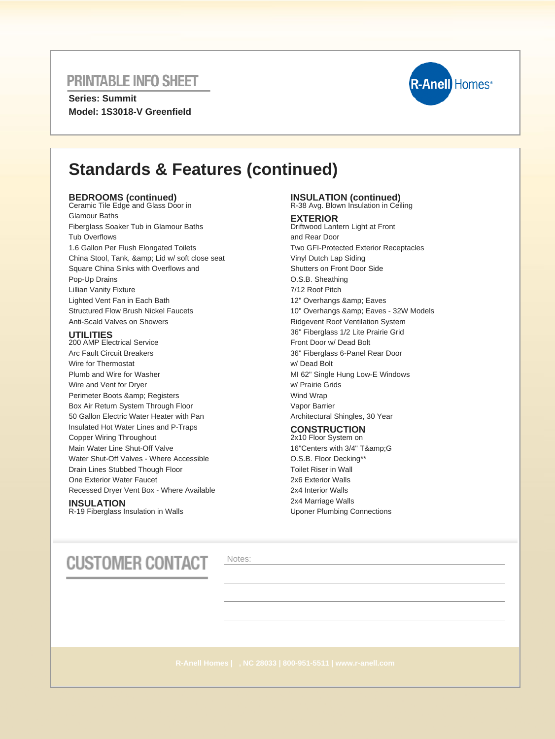**Series: Summit Model: 1S3018-V Greenfield**



## **Standards & Features (continued)**

## **BEDROOMS (continued)** Ceramic Tile Edge and Glass Door in

Glamour Baths Fiberglass Soaker Tub in Glamour Baths Tub Overflows 1.6 Gallon Per Flush Elongated Toilets China Stool, Tank, & amp; Lid w/ soft close seat Square China Sinks with Overflows and Pop-Up Drains Lillian Vanity Fixture Lighted Vent Fan in Each Bath Structured Flow Brush Nickel Faucets Anti-Scald Valves on Showers

### **UTILITIES**

200 AMP Electrical Service Arc Fault Circuit Breakers Wire for Thermostat Plumb and Wire for Washer Wire and Vent for Dryer Perimeter Boots & amp; Registers Box Air Return System Through Floor 50 Gallon Electric Water Heater with Pan Insulated Hot Water Lines and P-Traps Copper Wiring Throughout Main Water Line Shut-Off Valve Water Shut-Off Valves - Where Accessible Drain Lines Stubbed Though Floor One Exterior Water Faucet Recessed Dryer Vent Box - Where Available

### **INSULATION**

R-19 Fiberglass Insulation in Walls

# **INSULATION (continued)** R-38 Avg. Blown Insulation in Ceiling

### **EXTERIOR**

Driftwood Lantern Light at Front and Rear Door Two GFI-Protected Exterior Receptacles Vinyl Dutch Lap Siding Shutters on Front Door Side O.S.B. Sheathing 7/12 Roof Pitch 12" Overhangs & amp; Eaves 10" Overhangs & amp; Eaves - 32W Models Ridgevent Roof Ventilation System 36" Fiberglass 1/2 Lite Prairie Grid Front Door w/ Dead Bolt 36" Fiberglass 6-Panel Rear Door w/ Dead Bolt MI 62" Single Hung Low-E Windows w/ Prairie Grids Wind Wrap Vapor Barrier Architectural Shingles, 30 Year

### **CONSTRUCTION**

2x10 Floor System on 16"Centers with 3/4" T&G O.S.B. Floor Decking\*\* Toilet Riser in Wall 2x6 Exterior Walls 2x4 Interior Walls 2x4 Marriage Walls Uponer Plumbing Connections

# **CUSTOMER CONTACT**

Notes: